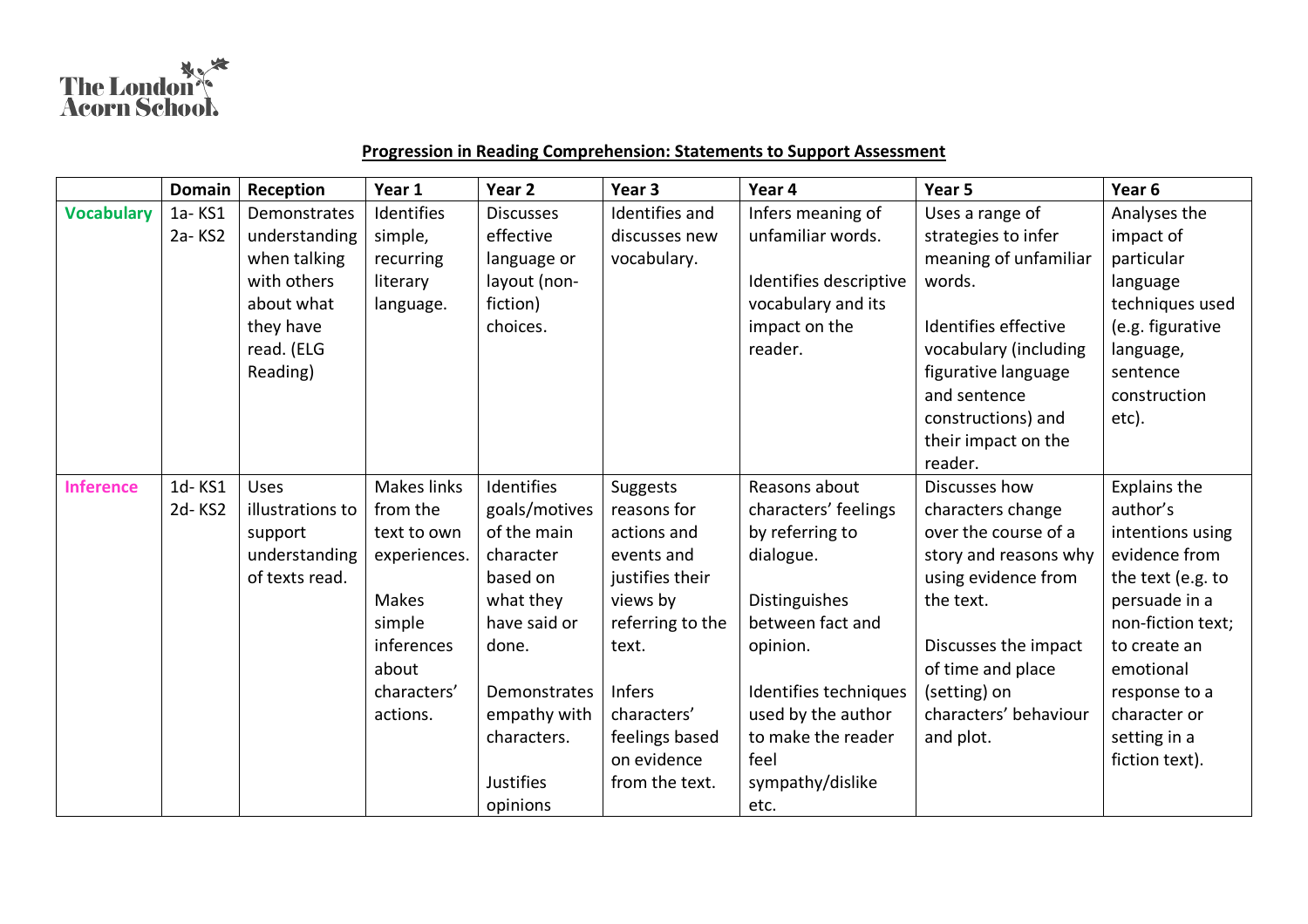

## **Progression in Reading Comprehension: Statements to Support Assessment**

|                   | <b>Domain</b> | Reception        | Year 1       | Year 2           | Year <sub>3</sub> | Year 4                 | Year 5                | Year <sub>6</sub> |
|-------------------|---------------|------------------|--------------|------------------|-------------------|------------------------|-----------------------|-------------------|
| <b>Vocabulary</b> | 1a-KS1        | Demonstrates     | Identifies   | <b>Discusses</b> | Identifies and    | Infers meaning of      | Uses a range of       | Analyses the      |
|                   | 2a-KS2        | understanding    | simple,      | effective        | discusses new     | unfamiliar words.      | strategies to infer   | impact of         |
|                   |               | when talking     | recurring    | language or      | vocabulary.       |                        | meaning of unfamiliar | particular        |
|                   |               | with others      | literary     | layout (non-     |                   | Identifies descriptive | words.                | language          |
|                   |               | about what       | language.    | fiction)         |                   | vocabulary and its     |                       | techniques used   |
|                   |               | they have        |              | choices.         |                   | impact on the          | Identifies effective  | (e.g. figurative  |
|                   |               | read. (ELG       |              |                  |                   | reader.                | vocabulary (including | language,         |
|                   |               | Reading)         |              |                  |                   |                        | figurative language   | sentence          |
|                   |               |                  |              |                  |                   |                        | and sentence          | construction      |
|                   |               |                  |              |                  |                   |                        | constructions) and    | etc).             |
|                   |               |                  |              |                  |                   |                        | their impact on the   |                   |
|                   |               |                  |              |                  |                   |                        | reader.               |                   |
| <b>Inference</b>  | 1d-KS1        | <b>Uses</b>      | Makes links  | Identifies       | Suggests          | Reasons about          | Discusses how         | Explains the      |
|                   | 2d-KS2        | illustrations to | from the     | goals/motives    | reasons for       | characters' feelings   | characters change     | author's          |
|                   |               | support          | text to own  | of the main      | actions and       | by referring to        | over the course of a  | intentions using  |
|                   |               | understanding    | experiences. | character        | events and        | dialogue.              | story and reasons why | evidence from     |
|                   |               | of texts read.   |              | based on         | justifies their   |                        | using evidence from   | the text (e.g. to |
|                   |               |                  | Makes        | what they        | views by          | Distinguishes          | the text.             | persuade in a     |
|                   |               |                  | simple       | have said or     | referring to the  | between fact and       |                       | non-fiction text; |
|                   |               |                  | inferences   | done.            | text.             | opinion.               | Discusses the impact  | to create an      |
|                   |               |                  | about        |                  |                   |                        | of time and place     | emotional         |
|                   |               |                  | characters'  | Demonstrates     | <b>Infers</b>     | Identifies techniques  | (setting) on          | response to a     |
|                   |               |                  | actions.     | empathy with     | characters'       | used by the author     | characters' behaviour | character or      |
|                   |               |                  |              | characters.      | feelings based    | to make the reader     | and plot.             | setting in a      |
|                   |               |                  |              |                  | on evidence       | feel                   |                       | fiction text).    |
|                   |               |                  |              | <b>Justifies</b> | from the text.    | sympathy/dislike       |                       |                   |
|                   |               |                  |              | opinions         |                   | etc.                   |                       |                   |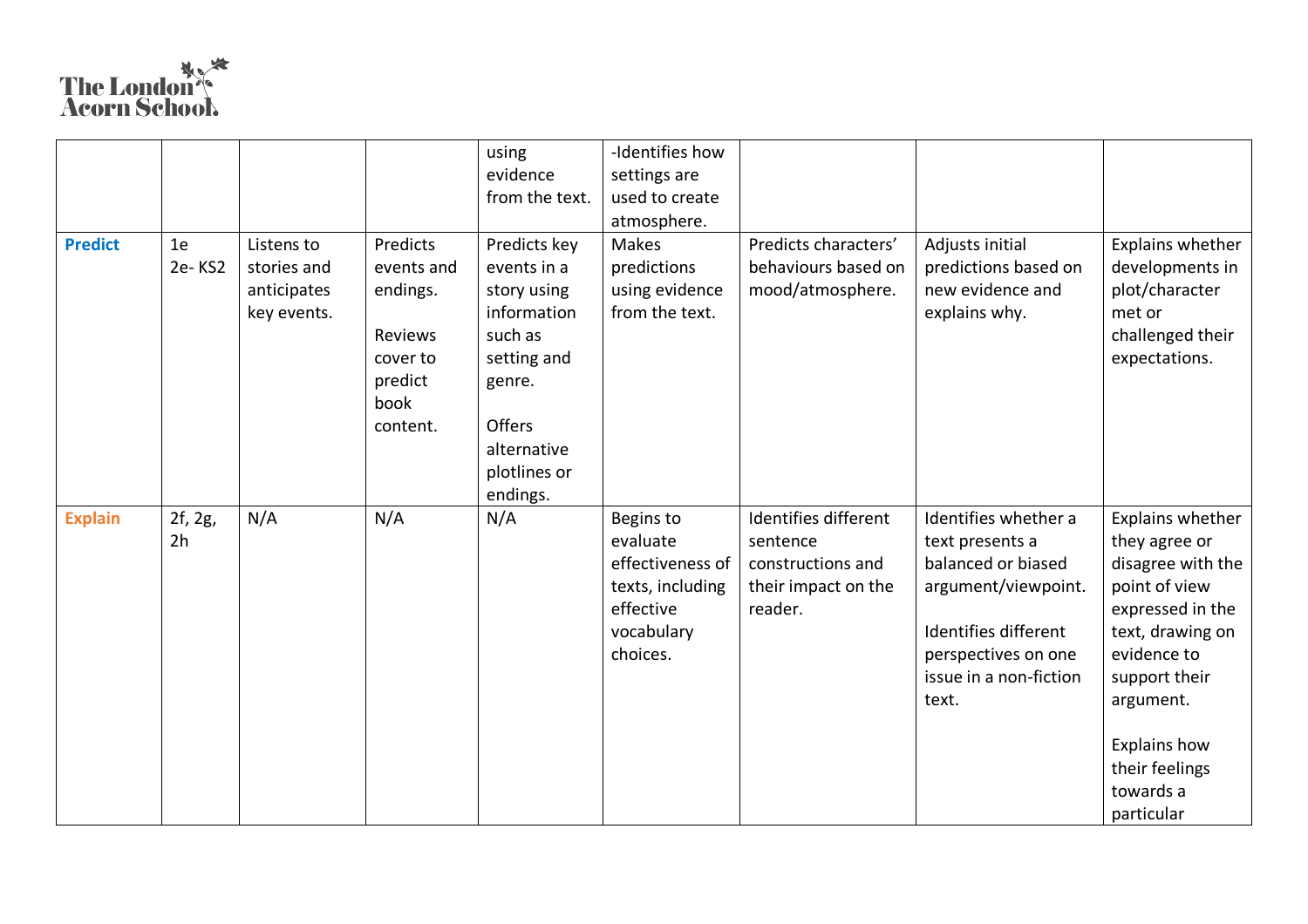## The London

|                |                |                                                         |                                                                                          | using                                                                                                                                  | -Identifies how                                                                         |                                                                 |                                                                                                                                                |                                                                                                                                                                                                       |
|----------------|----------------|---------------------------------------------------------|------------------------------------------------------------------------------------------|----------------------------------------------------------------------------------------------------------------------------------------|-----------------------------------------------------------------------------------------|-----------------------------------------------------------------|------------------------------------------------------------------------------------------------------------------------------------------------|-------------------------------------------------------------------------------------------------------------------------------------------------------------------------------------------------------|
|                |                |                                                         |                                                                                          | evidence                                                                                                                               | settings are                                                                            |                                                                 |                                                                                                                                                |                                                                                                                                                                                                       |
|                |                |                                                         |                                                                                          | from the text.                                                                                                                         | used to create                                                                          |                                                                 |                                                                                                                                                |                                                                                                                                                                                                       |
|                |                |                                                         |                                                                                          |                                                                                                                                        | atmosphere.                                                                             |                                                                 |                                                                                                                                                |                                                                                                                                                                                                       |
| <b>Predict</b> | 1e<br>2e-KS2   | Listens to<br>stories and<br>anticipates<br>key events. | Predicts<br>events and<br>endings.<br>Reviews<br>cover to<br>predict<br>book<br>content. | Predicts key<br>events in a<br>story using<br>information<br>such as<br>setting and<br>genre.<br>Offers<br>alternative<br>plotlines or | Makes<br>predictions<br>using evidence<br>from the text.                                | Predicts characters'<br>behaviours based on<br>mood/atmosphere. | Adjusts initial<br>predictions based on<br>new evidence and<br>explains why.                                                                   | Explains whether<br>developments in<br>plot/character<br>met or<br>challenged their<br>expectations.                                                                                                  |
| <b>Explain</b> | 2f, 2g,        | N/A                                                     | N/A                                                                                      | endings.<br>N/A                                                                                                                        | Begins to                                                                               | Identifies different                                            | Identifies whether a                                                                                                                           | Explains whether                                                                                                                                                                                      |
|                | 2 <sub>h</sub> |                                                         |                                                                                          |                                                                                                                                        | evaluate<br>effectiveness of<br>texts, including<br>effective<br>vocabulary<br>choices. | sentence<br>constructions and<br>their impact on the<br>reader. | text presents a<br>balanced or biased<br>argument/viewpoint.<br>Identifies different<br>perspectives on one<br>issue in a non-fiction<br>text. | they agree or<br>disagree with the<br>point of view<br>expressed in the<br>text, drawing on<br>evidence to<br>support their<br>argument.<br>Explains how<br>their feelings<br>towards a<br>particular |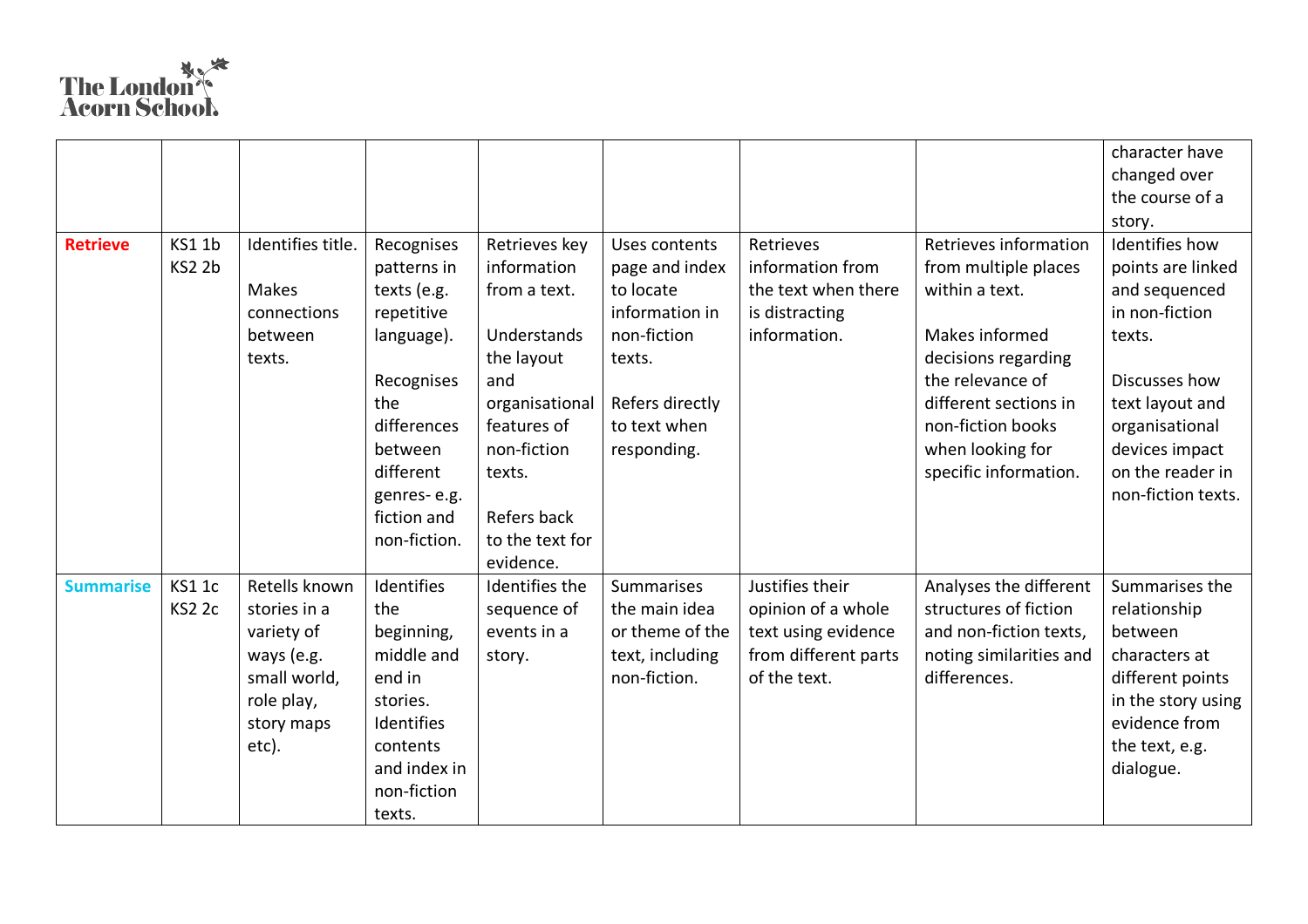## The London

|                  |               |                   |              |                 |                   |                      |                         | character have     |
|------------------|---------------|-------------------|--------------|-----------------|-------------------|----------------------|-------------------------|--------------------|
|                  |               |                   |              |                 |                   |                      |                         | changed over       |
|                  |               |                   |              |                 |                   |                      |                         | the course of a    |
|                  |               |                   |              |                 |                   |                      |                         | story.             |
| <b>Retrieve</b>  | KS1 1b        | Identifies title. | Recognises   | Retrieves key   | Uses contents     | Retrieves            | Retrieves information   | Identifies how     |
|                  | KS2 2b        |                   | patterns in  | information     | page and index    | information from     | from multiple places    | points are linked  |
|                  |               | Makes             | texts (e.g.  | from a text.    | to locate         | the text when there  | within a text.          | and sequenced      |
|                  |               | connections       | repetitive   |                 | information in    | is distracting       |                         | in non-fiction     |
|                  |               | between           | language).   | Understands     | non-fiction       | information.         | Makes informed          | texts.             |
|                  |               | texts.            |              | the layout      | texts.            |                      | decisions regarding     |                    |
|                  |               |                   | Recognises   | and             |                   |                      | the relevance of        | Discusses how      |
|                  |               |                   | the          | organisational  | Refers directly   |                      | different sections in   | text layout and    |
|                  |               |                   | differences  | features of     | to text when      |                      | non-fiction books       | organisational     |
|                  |               |                   | between      | non-fiction     | responding.       |                      | when looking for        | devices impact     |
|                  |               |                   | different    | texts.          |                   |                      | specific information.   | on the reader in   |
|                  |               |                   | genres-e.g.  |                 |                   |                      |                         | non-fiction texts. |
|                  |               |                   | fiction and  | Refers back     |                   |                      |                         |                    |
|                  |               |                   | non-fiction. | to the text for |                   |                      |                         |                    |
|                  |               |                   |              | evidence.       |                   |                      |                         |                    |
| <b>Summarise</b> | <b>KS1 1c</b> | Retells known     | Identifies   | Identifies the  | <b>Summarises</b> | Justifies their      | Analyses the different  | Summarises the     |
|                  | <b>KS2 2c</b> | stories in a      | the          | sequence of     | the main idea     | opinion of a whole   | structures of fiction   | relationship       |
|                  |               | variety of        | beginning,   | events in a     | or theme of the   | text using evidence  | and non-fiction texts,  | between            |
|                  |               | ways (e.g.        | middle and   | story.          | text, including   | from different parts | noting similarities and | characters at      |
|                  |               | small world,      | end in       |                 | non-fiction.      | of the text.         | differences.            | different points   |
|                  |               | role play,        | stories.     |                 |                   |                      |                         | in the story using |
|                  |               | story maps        | Identifies   |                 |                   |                      |                         | evidence from      |
|                  |               | etc).             | contents     |                 |                   |                      |                         | the text, e.g.     |
|                  |               |                   | and index in |                 |                   |                      |                         | dialogue.          |
|                  |               |                   | non-fiction  |                 |                   |                      |                         |                    |
|                  |               |                   | texts.       |                 |                   |                      |                         |                    |